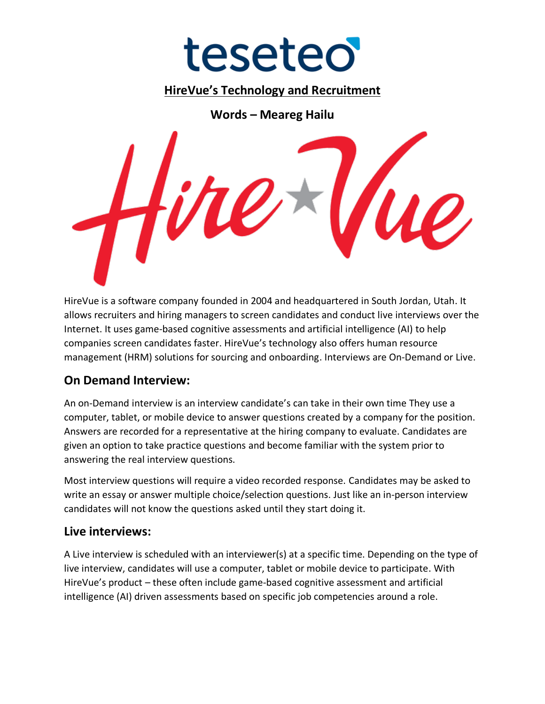

**HireVue's Technology and Recruitment**

**Words – Meareg Hailu**



HireVue is a software company founded in 2004 and headquartered in South Jordan, Utah. It allows recruiters and hiring managers to screen candidates and conduct live interviews over the Internet. It uses game-based cognitive assessments and artificial intelligence (AI) to help companies screen candidates faster. HireVue's technology also offers human resource management (HRM) solutions for sourcing and onboarding. Interviews are On-Demand or Live.

# **On Demand Interview:**

An on-Demand interview is an interview candidate's can take in their own time They use a computer, tablet, or mobile device to answer questions created by a company for the position. Answers are recorded for a representative at the hiring company to evaluate. Candidates are given an option to take practice questions and become familiar with the system prior to answering the real interview questions.

Most interview questions will require a video recorded response. Candidates may be asked to write an essay or answer multiple choice/selection questions. Just like an in-person interview candidates will not know the questions asked until they start doing it.

# **Live interviews:**

A Live interview is scheduled with an interviewer(s) at a specific time. Depending on the type of live interview, candidates will use a computer, tablet or mobile device to participate. With HireVue's product – these often include game-based cognitive assessment and artificial intelligence (AI) driven assessments based on specific job competencies around a role.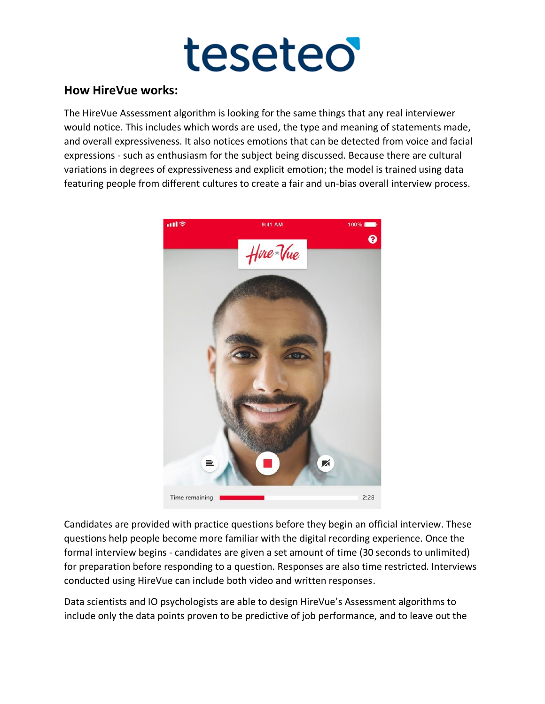# **How HireVue works:**

The HireVue Assessment algorithm is looking for the same things that any real interviewer would notice. This includes which words are used, the type and meaning of statements made, and overall expressiveness. It also notices emotions that can be detected from voice and facial expressions - such as enthusiasm for the subject being discussed. Because there are cultural variations in degrees of expressiveness and explicit emotion; the model is trained using data featuring people from different cultures to create a fair and un-bias overall interview process.



Candidates are provided with practice questions before they begin an official interview. These questions help people become more familiar with the digital recording experience. Once the formal interview begins - candidates are given a set amount of time (30 seconds to unlimited) for preparation before responding to a question. Responses are also time restricted. Interviews conducted using HireVue can include both video and written responses.

Data scientists and IO psychologists are able to design HireVue's Assessment algorithms to include only the data points proven to be predictive of job performance, and to leave out the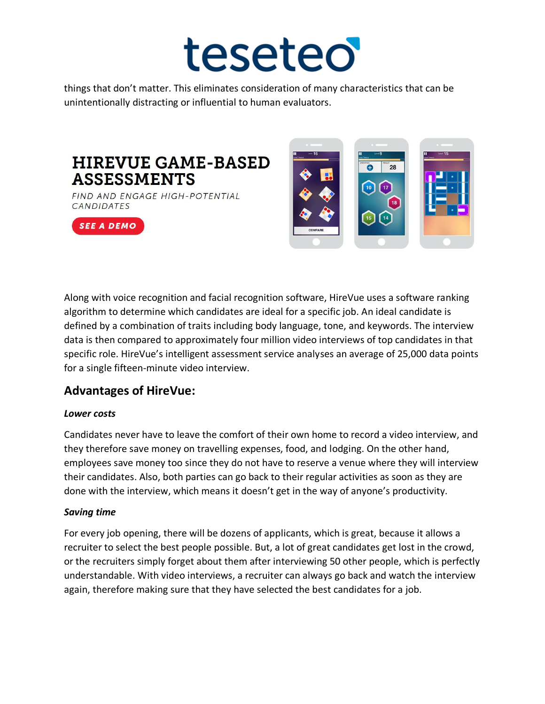things that don't matter. This eliminates consideration of many characteristics that can be unintentionally distracting or influential to human evaluators.



FIND AND ENGAGE HIGH-POTENTIAL CANDIDATES





Along with voice recognition and facial recognition software, HireVue uses a software ranking algorithm to determine which candidates are ideal for a specific job. An ideal candidate is defined by a combination of traits including body language, tone, and keywords. The interview data is then compared to approximately four million video interviews of top candidates in that specific role. HireVue's intelligent assessment service analyses an average of 25,000 data points for a single fifteen-minute video interview.

# **Advantages of HireVue:**

### *Lower costs*

Candidates never have to leave the comfort of their own home to record a video interview, and they therefore save money on travelling expenses, food, and lodging. On the other hand, employees save money too since they do not have to reserve a venue where they will interview their candidates. Also, both parties can go back to their regular activities as soon as they are done with the interview, which means it doesn't get in the way of anyone's productivity.

### *Saving time*

For every job opening, there will be dozens of applicants, which is great, because it allows a recruiter to select the best people possible. But, a lot of great candidates get lost in the crowd, or the recruiters simply forget about them after interviewing 50 other people, which is perfectly understandable. With video interviews, a recruiter can always go back and watch the interview again, therefore making sure that they have selected the best candidates for a job.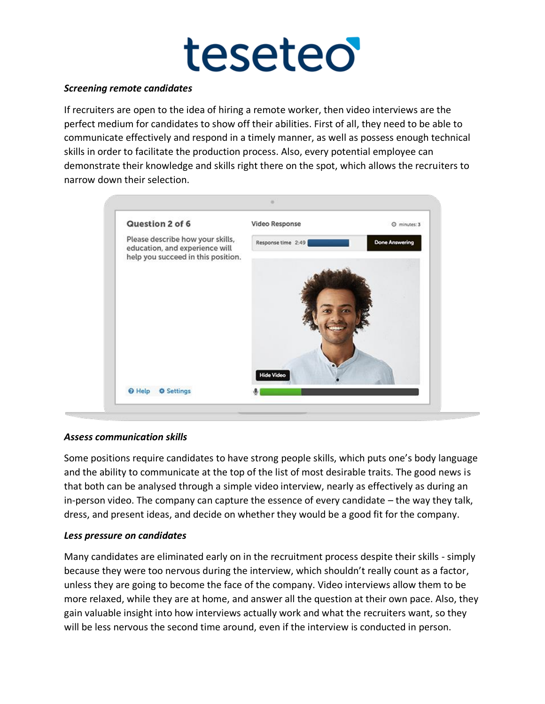#### *Screening remote candidates*

If recruiters are open to the idea of hiring a remote worker, then video interviews are the perfect medium for candidates to show off their abilities. First of all, they need to be able to communicate effectively and respond in a timely manner, as well as possess enough technical skills in order to facilitate the production process. Also, every potential employee can demonstrate their knowledge and skills right there on the spot, which allows the recruiters to narrow down their selection.



### *Assess communication skills*

Some positions require candidates to have strong people skills, which puts one's body language and the ability to communicate at the top of the list of most desirable traits. The good news is that both can be analysed through a simple video interview, nearly as effectively as during an in-person video. The company can capture the essence of every candidate – the way they talk, dress, and present ideas, and decide on whether they would be a good fit for the company.

#### *Less pressure on candidates*

Many candidates are eliminated early on in the recruitment process despite their skills - simply because they were too nervous during the interview, which shouldn't really count as a factor, unless they are going to become the face of the company. Video interviews allow them to be more relaxed, while they are at home, and answer all the question at their own pace. Also, they gain valuable insight into how interviews actually work and what the recruiters want, so they will be less nervous the second time around, even if the interview is conducted in person.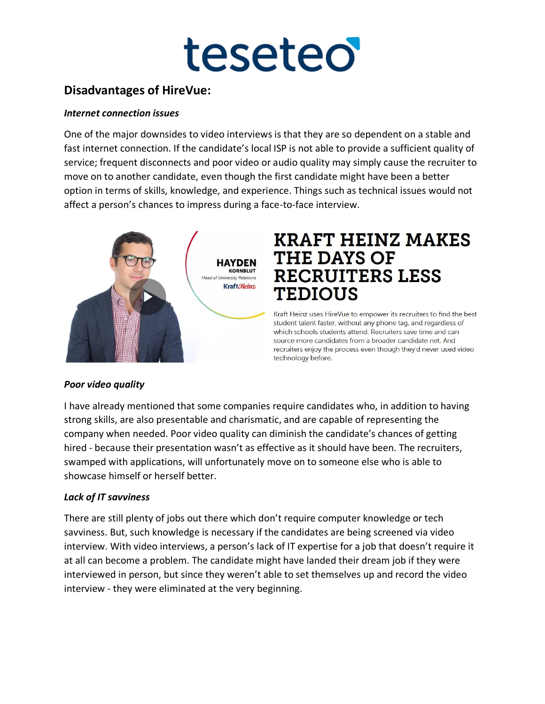# **Disadvantages of HireVue:**

#### *Internet connection issues*

One of the major downsides to video interviews is that they are so dependent on a stable and fast internet connection. If the candidate's local ISP is not able to provide a sufficient quality of service; frequent disconnects and poor video or audio quality may simply cause the recruiter to move on to another candidate, even though the first candidate might have been a better option in terms of skills, knowledge, and experience. Things such as technical issues would not affect a person's chances to impress during a face-to-face interview.



# KRAFT HEINZ MAKES THE DAYS OF **RECRUITERS LESS TEDIOUS**

Kraft Heinz uses HireVue to empower its recruiters to find the best student talent faster, without any phone tag, and regardless of which schools students attend. Recruiters save time and can source more candidates from a broader candidate net. And recruiters enjoy the process even though they'd never used video technology before.

### *Poor video quality*

I have already mentioned that some companies require candidates who, in addition to having strong skills, are also presentable and charismatic, and are capable of representing the company when needed. Poor video quality can diminish the candidate's chances of getting hired - because their presentation wasn't as effective as it should have been. The recruiters, swamped with applications, will unfortunately move on to someone else who is able to showcase himself or herself better.

### *Lack of IT savviness*

There are still plenty of jobs out there which don't require computer knowledge or tech savviness. But, such knowledge is necessary if the candidates are being screened via video interview. With video interviews, a person's lack of IT expertise for a job that doesn't require it at all can become a problem. The candidate might have landed their dream job if they were interviewed in person, but since they weren't able to set themselves up and record the video interview - they were eliminated at the very beginning.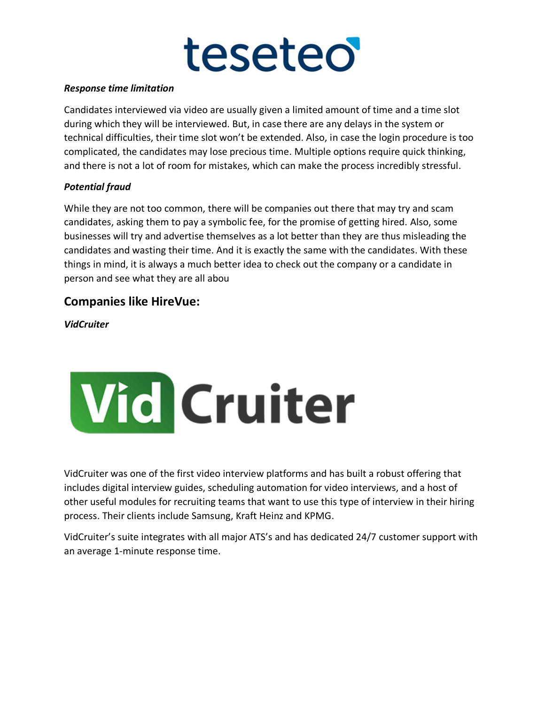#### *Response time limitation*

Candidates interviewed via video are usually given a limited amount of time and a time slot during which they will be interviewed. But, in case there are any delays in the system or technical difficulties, their time slot won't be extended. Also, in case the login procedure is too complicated, the candidates may lose precious time. Multiple options require quick thinking, and there is not a lot of room for mistakes, which can make the process incredibly stressful.

### *Potential fraud*

While they are not too common, there will be companies out there that may try and scam candidates, asking them to pay a symbolic fee, for the promise of getting hired. Also, some businesses will try and advertise themselves as a lot better than they are thus misleading the candidates and wasting their time. And it is exactly the same with the candidates. With these things in mind, it is always a much better idea to check out the company or a candidate in person and see what they are all abou

# **Companies like HireVue:**

*VidCruiter*



VidCruiter was one of the first video interview platforms and has built a robust offering that includes digital interview guides, scheduling automation for video interviews, and a host of other useful modules for recruiting teams that want to use this type of interview in their hiring process. Their clients include Samsung, Kraft Heinz and KPMG.

VidCruiter's suite integrates with all major ATS's and has dedicated 24/7 customer support with an average 1-minute response time.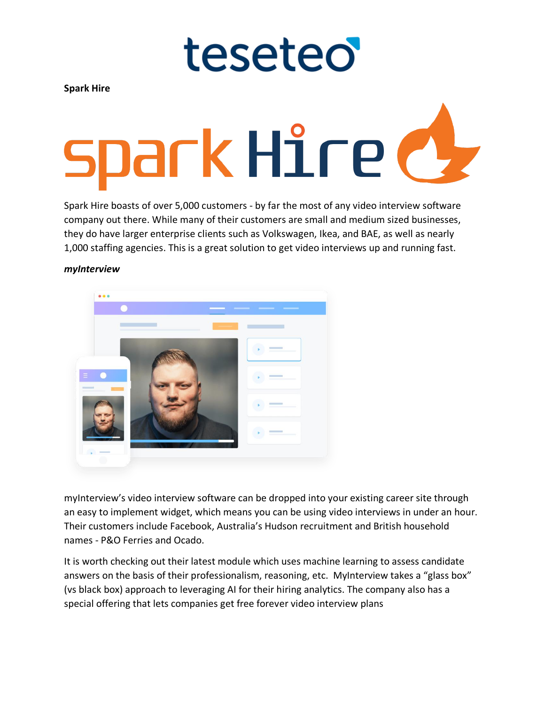# **Spark Hire** spark Hire d

teseteo

Spark Hire boasts of over 5,000 customers - by far the most of any video interview software company out there. While many of their customers are small and medium sized businesses, they do have larger enterprise clients such as Volkswagen, Ikea, and BAE, as well as nearly 1,000 staffing agencies. This is a great solution to get video interviews up and running fast.

#### *myInterview*



myInterview's video interview software can be dropped into your existing career site through an easy to implement widget, which means you can be using video interviews in under an hour. Their customers include Facebook, Australia's Hudson recruitment and British household names - P&O Ferries and Ocado.

It is worth checking out their latest module which uses machine learning to assess candidate answers on the basis of their professionalism, reasoning, etc. MyInterview takes a "glass box" (vs black box) approach to leveraging AI for their hiring analytics. The company also has a special offering that lets companies get free forever video interview plans